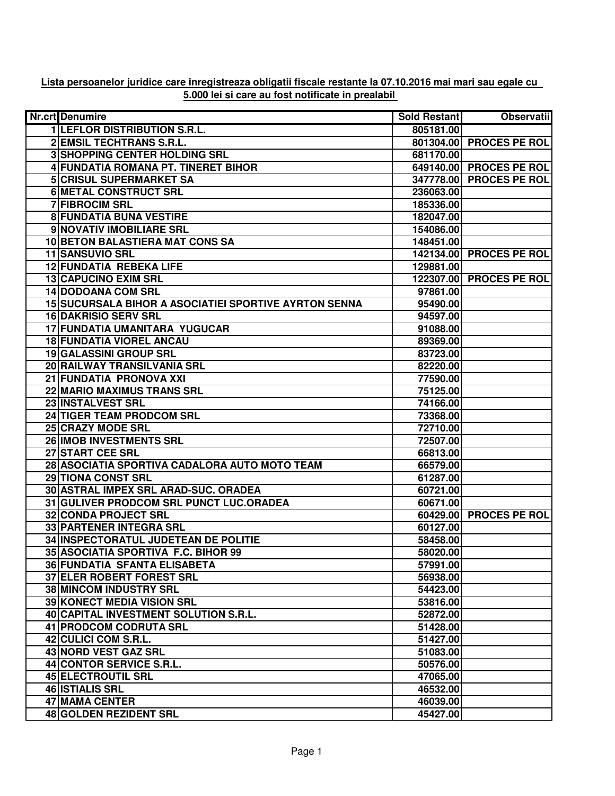| Lista persoanelor juridice care inregistreaza obligatii fiscale restante la 07.10.2016 mai mari sau egale cu |
|--------------------------------------------------------------------------------------------------------------|
| 5.000 lei si care au fost notificate in prealabil                                                            |

| Nr.crt Denumire                                              | Sold Restant | <b>Observatii</b>       |
|--------------------------------------------------------------|--------------|-------------------------|
| <b>1 LEFLOR DISTRIBUTION S.R.L.</b>                          | 805181.00    |                         |
| 2 EMSIL TECHTRANS S.R.L.                                     |              | 801304.00 PROCES PE ROL |
| <b>3 SHOPPING CENTER HOLDING SRL</b>                         | 681170.00    |                         |
| 4 FUNDATIA ROMANA PT. TINERET BIHOR                          |              | 649140.00 PROCES PE ROL |
| <b>5 CRISUL SUPERMARKET SA</b>                               |              | 347778.00 PROCES PE ROL |
| <b>6 METAL CONSTRUCT SRL</b>                                 | 236063.00    |                         |
| <b>7 FIBROCIM SRL</b>                                        | 185336.00    |                         |
| <b>8 FUNDATIA BUNA VESTIRE</b>                               | 182047.00    |                         |
| 9 NOVATIV IMOBILIARE SRL                                     | 154086.00    |                         |
| 10 BETON BALASTIERA MAT CONS SA                              | 148451.00    |                         |
| <b>11 SANSUVIO SRL</b>                                       |              | 142134.00 PROCES PE ROL |
| <b>12 FUNDATIA REBEKA LIFE</b>                               | 129881.00    |                         |
| 13 CAPUCINO EXIM SRL                                         |              | 122307.00 PROCES PE ROL |
| 14 DODOANA COM SRL                                           | 97861.00     |                         |
| <b>15 SUCURSALA BIHOR A ASOCIATIEI SPORTIVE AYRTON SENNA</b> | 95490.00     |                         |
| <b>16 DAKRISIO SERV SRL</b>                                  | 94597.00     |                         |
| 17 FUNDATIA UMANITARA YUGUCAR                                | 91088.00     |                         |
| <b>18 FUNDATIA VIOREL ANCAU</b>                              | 89369.00     |                         |
| 19 GALASSINI GROUP SRL                                       | 83723.00     |                         |
| 20 RAILWAY TRANSILVANIA SRL                                  | 82220.00     |                         |
| 21 FUNDATIA PRONOVA XXI                                      | 77590.00     |                         |
| 22 MARIO MAXIMUS TRANS SRL                                   | 75125.00     |                         |
| 23 INSTALVEST SRL                                            | 74166.00     |                         |
| 24 TIGER TEAM PRODCOM SRL                                    | 73368.00     |                         |
| 25 CRAZY MODE SRL                                            | 72710.00     |                         |
| 26 IMOB INVESTMENTS SRL                                      | 72507.00     |                         |
| 27 START CEE SRL                                             | 66813.00     |                         |
| 28 ASOCIATIA SPORTIVA CADALORA AUTO MOTO TEAM                | 66579.00     |                         |
| <b>29 TIONA CONST SRL</b>                                    | 61287.00     |                         |
| 30 ASTRAL IMPEX SRL ARAD-SUC. ORADEA                         | 60721.00     |                         |
| 31 GULIVER PRODCOM SRL PUNCT LUC.ORADEA                      | 60671.00     |                         |
| <b>32 CONDA PROJECT SRL</b>                                  |              | 60429.00 PROCES PE ROL  |
| <b>33 PARTENER INTEGRA SRL</b>                               | 60127.00     |                         |
| 34 INSPECTORATUL JUDETEAN DE POLITIE                         | 58458.00     |                         |
| 35 ASOCIATIA SPORTIVA F.C. BIHOR 99                          | 58020.00     |                         |
| <b>36 FUNDATIA SFANTA ELISABETA</b>                          | 57991.00     |                         |
| 37 ELER ROBERT FOREST SRL                                    | 56938.00     |                         |
| <b>38 MINCOM INDUSTRY SRL</b>                                | 54423.00     |                         |
| <b>39 KONECT MEDIA VISION SRL</b>                            | 53816.00     |                         |
| 40 CAPITAL INVESTMENT SOLUTION S.R.L.                        | 52872.00     |                         |
| 41 PRODCOM CODRUTA SRL                                       | 51428.00     |                         |
| 42 CULICI COM S.R.L.                                         | 51427.00     |                         |
| 43 NORD VEST GAZ SRL                                         | 51083.00     |                         |
| 44 CONTOR SERVICE S.R.L.                                     | 50576.00     |                         |
| 45 ELECTROUTIL SRL                                           | 47065.00     |                         |
| <b>46 ISTIALIS SRL</b>                                       | 46532.00     |                         |
| 47 MAMA CENTER                                               | 46039.00     |                         |
| 48 GOLDEN REZIDENT SRL                                       | 45427.00     |                         |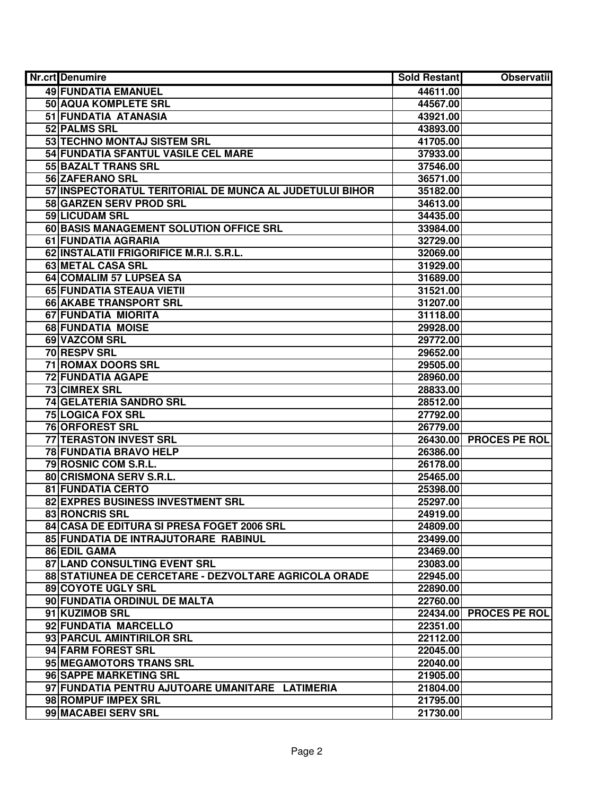| Nr.crt Denumire                                         | <b>Sold Restant</b> | <b>Observatii</b>      |
|---------------------------------------------------------|---------------------|------------------------|
| <b>49 FUNDATIA EMANUEL</b>                              | 44611.00            |                        |
| 50 AQUA KOMPLETE SRL                                    | 44567.00            |                        |
| 51 FUNDATIA ATANASIA                                    | 43921.00            |                        |
| 52 PALMS SRL                                            | 43893.00            |                        |
| 53 TECHNO MONTAJ SISTEM SRL                             | 41705.00            |                        |
| 54 FUNDATIA SFANTUL VASILE CEL MARE                     | 37933.00            |                        |
| 55 BAZALT TRANS SRL                                     | 37546.00            |                        |
| 56 ZAFERANO SRL                                         | 36571.00            |                        |
| 57 INSPECTORATUL TERITORIAL DE MUNCA AL JUDETULUI BIHOR | 35182.00            |                        |
| 58 GARZEN SERV PROD SRL                                 | 34613.00            |                        |
| 59 LICUDAM SRL                                          | 34435.00            |                        |
| 60 BASIS MANAGEMENT SOLUTION OFFICE SRL                 | 33984.00            |                        |
| 61 FUNDATIA AGRARIA                                     | 32729.00            |                        |
| 62 INSTALATII FRIGORIFICE M.R.I. S.R.L.                 | 32069.00            |                        |
| 63 METAL CASA SRL                                       | 31929.00            |                        |
| 64 COMALIM 57 LUPSEA SA                                 | 31689.00            |                        |
| 65 FUNDATIA STEAUA VIETII                               | 31521.00            |                        |
| 66 AKABE TRANSPORT SRL                                  | 31207.00            |                        |
| 67 FUNDATIA MIORITA                                     | 31118.00            |                        |
| 68 FUNDATIA MOISE                                       | 29928.00            |                        |
| 69 VAZCOM SRL                                           | 29772.00            |                        |
| 70 RESPV SRL                                            | 29652.00            |                        |
| 71 ROMAX DOORS SRL                                      | 29505.00            |                        |
| <b>72 FUNDATIA AGAPE</b>                                | 28960.00            |                        |
| <b>73 CIMREX SRL</b>                                    | 28833.00            |                        |
| 74 GELATERIA SANDRO SRL                                 | 28512.00            |                        |
| <b>75 LOGICA FOX SRL</b>                                | 27792.00            |                        |
| 76 ORFOREST SRL                                         | 26779.00            |                        |
| 77 TERASTON INVEST SRL                                  | 26430.00            | <b>PROCES PE ROL</b>   |
| 78 FUNDATIA BRAVO HELP                                  | 26386.00            |                        |
| 79 ROSNIC COM S.R.L.                                    | 26178.00            |                        |
| 80 CRISMONA SERV S.R.L.                                 | 25465.00            |                        |
| <b>81 FUNDATIA CERTO</b>                                | 25398.00            |                        |
| 82 EXPRES BUSINESS INVESTMENT SRL                       | 25297.00            |                        |
| <b>83 RONCRIS SRL</b>                                   | 24919.00            |                        |
| 84 CASA DE EDITURA SI PRESA FOGET 2006 SRL              | 24809.00            |                        |
| 85 FUNDATIA DE INTRAJUTORARE RABINUL                    | 23499.00            |                        |
| 86 EDIL GAMA                                            | 23469.00            |                        |
| 87 LAND CONSULTING EVENT SRL                            | 23083.00            |                        |
| 88 STATIUNEA DE CERCETARE - DEZVOLTARE AGRICOLA ORADE   | 22945.00            |                        |
| 89 COYOTE UGLY SRL                                      | 22890.00            |                        |
| 90 FUNDATIA ORDINUL DE MALTA                            | 22760.00            |                        |
| 91 KUZIMOB SRL                                          |                     | 22434.00 PROCES PE ROL |
| 92 FUNDATIA MARCELLO                                    | 22351.00            |                        |
| 93 PARCUL AMINTIRILOR SRL                               | 22112.00            |                        |
| 94 FARM FOREST SRL                                      | 22045.00            |                        |
| 95 MEGAMOTORS TRANS SRL                                 | 22040.00            |                        |
| 96 SAPPE MARKETING SRL                                  | 21905.00            |                        |
| 97 FUNDATIA PENTRU AJUTOARE UMANITARE LATIMERIA         | 21804.00            |                        |
| 98 ROMPUF IMPEX SRL                                     | 21795.00            |                        |
| 99 MACABEI SERV SRL                                     | 21730.00            |                        |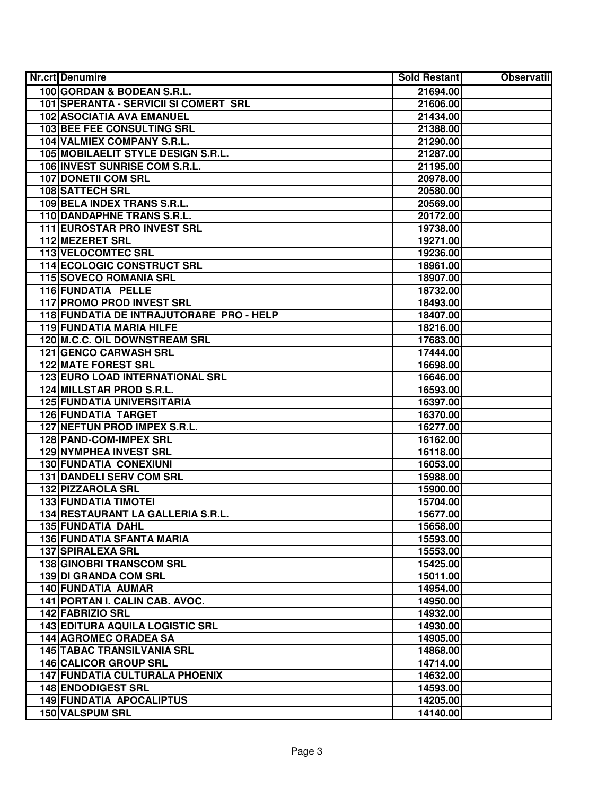| Nr.crt Denumire                          | Sold Restant | <b>Observatii</b> |
|------------------------------------------|--------------|-------------------|
| 100 GORDAN & BODEAN S.R.L.               | 21694.00     |                   |
| 101 SPERANTA - SERVICII SI COMERT SRL    | 21606.00     |                   |
| 102 ASOCIATIA AVA EMANUEL                | 21434.00     |                   |
| 103 BEE FEE CONSULTING SRL               | 21388.00     |                   |
| 104 VALMIEX COMPANY S.R.L.               | 21290.00     |                   |
| 105 MOBILAELIT STYLE DESIGN S.R.L.       | 21287.00     |                   |
| 106 INVEST SUNRISE COM S.R.L.            | 21195.00     |                   |
| <b>107 DONETII COM SRL</b>               | 20978.00     |                   |
| <b>108 SATTECH SRL</b>                   | 20580.00     |                   |
| 109 BELA INDEX TRANS S.R.L.              | 20569.00     |                   |
| 110 DANDAPHNE TRANS S.R.L.               | 20172.00     |                   |
| 111 EUROSTAR PRO INVEST SRL              | 19738.00     |                   |
| <b>112 MEZERET SRL</b>                   | 19271.00     |                   |
| <b>113 VELOCOMTEC SRL</b>                | 19236.00     |                   |
| 114 ECOLOGIC CONSTRUCT SRL               | 18961.00     |                   |
| 115 SOVECO ROMANIA SRL                   | 18907.00     |                   |
| 116 FUNDATIA PELLE                       | 18732.00     |                   |
| <b>117 PROMO PROD INVEST SRL</b>         | 18493.00     |                   |
| 118 FUNDATIA DE INTRAJUTORARE PRO - HELP | 18407.00     |                   |
| 119 FUNDATIA MARIA HILFE                 | 18216.00     |                   |
| 120 M.C.C. OIL DOWNSTREAM SRL            | 17683.00     |                   |
| <b>121 GENCO CARWASH SRL</b>             | 17444.00     |                   |
| <b>122 MATE FOREST SRL</b>               | 16698.00     |                   |
| 123 EURO LOAD INTERNATIONAL SRL          | 16646.00     |                   |
| 124 MILLSTAR PROD S.R.L.                 | 16593.00     |                   |
| <b>125 FUNDATIA UNIVERSITARIA</b>        | 16397.00     |                   |
| <b>126 FUNDATIA TARGET</b>               | 16370.00     |                   |
| 127 NEFTUN PROD IMPEX S.R.L.             | 16277.00     |                   |
| 128 PAND-COM-IMPEX SRL                   | 16162.00     |                   |
| <b>129 NYMPHEA INVEST SRL</b>            | 16118.00     |                   |
| <b>130 FUNDATIA CONEXIUNI</b>            | 16053.00     |                   |
| 131 DANDELI SERV COM SRL                 | 15988.00     |                   |
| 132 PIZZAROLA SRL                        | 15900.00     |                   |
| <b>133 FUNDATIA TIMOTEI</b>              | 15704.00     |                   |
| 134 RESTAURANT LA GALLERIA S.R.L.        | 15677.00     |                   |
| <b>135 FUNDATIA DAHL</b>                 | 15658.00     |                   |
| <b>136 FUNDATIA SFANTA MARIA</b>         | 15593.00     |                   |
| <b>137 SPIRALEXA SRL</b>                 | 15553.00     |                   |
| <b>138 GINOBRI TRANSCOM SRL</b>          | 15425.00     |                   |
| 139 DI GRANDA COM SRL                    | 15011.00     |                   |
| 140 FUNDATIA AUMAR                       | 14954.00     |                   |
| 141 PORTAN I. CALIN CAB. AVOC.           | 14950.00     |                   |
| 142 FABRIZIO SRL                         | 14932.00     |                   |
| <b>143 EDITURA AQUILA LOGISTIC SRL</b>   | 14930.00     |                   |
| <b>144 AGROMEC ORADEA SA</b>             | 14905.00     |                   |
| <b>145 TABAC TRANSILVANIA SRL</b>        | 14868.00     |                   |
| 146 CALICOR GROUP SRL                    | 14714.00     |                   |
| <b>147 FUNDATIA CULTURALA PHOENIX</b>    | 14632.00     |                   |
| <b>148 ENDODIGEST SRL</b>                | 14593.00     |                   |
| <b>149 FUNDATIA APOCALIPTUS</b>          | 14205.00     |                   |
| 150 VALSPUM SRL                          | 14140.00     |                   |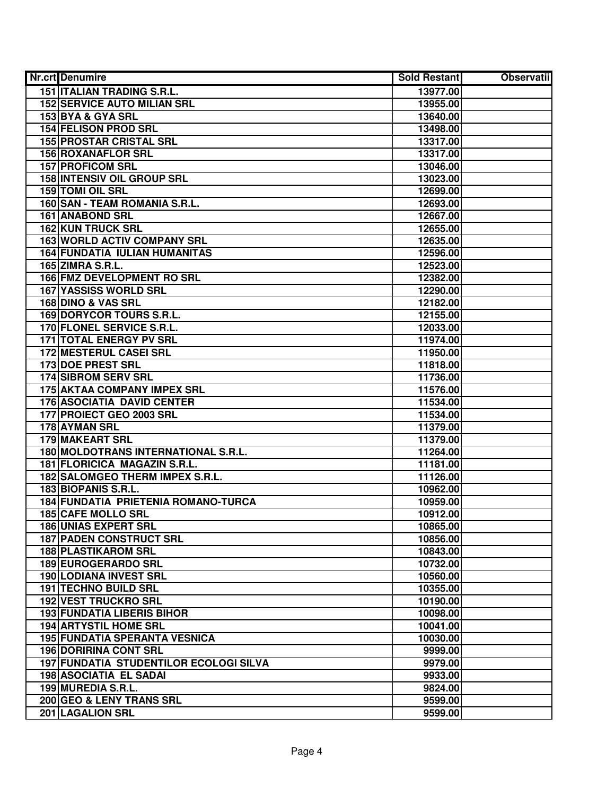| Nr.crt Denumire                        | Sold Restant | <b>Observatii</b> |
|----------------------------------------|--------------|-------------------|
| <b>151 ITALIAN TRADING S.R.L.</b>      | 13977.00     |                   |
| <b>152 SERVICE AUTO MILIAN SRL</b>     | 13955.00     |                   |
| 153 BYA & GYA SRL                      | 13640.00     |                   |
| <b>154 FELISON PROD SRL</b>            | 13498.00     |                   |
| <b>155 PROSTAR CRISTAL SRL</b>         | 13317.00     |                   |
| 156 ROXANAFLOR SRL                     | 13317.00     |                   |
| <b>157 PROFICOM SRL</b>                | 13046.00     |                   |
| <b>158 INTENSIV OIL GROUP SRL</b>      | 13023.00     |                   |
| <b>159 TOMI OIL SRL</b>                | 12699.00     |                   |
| 160 SAN - TEAM ROMANIA S.R.L.          | 12693.00     |                   |
| <b>161 ANABOND SRL</b>                 | 12667.00     |                   |
| <b>162 KUN TRUCK SRL</b>               | 12655.00     |                   |
| <b>163 WORLD ACTIV COMPANY SRL</b>     | 12635.00     |                   |
| <b>164 FUNDATIA IULIAN HUMANITAS</b>   | 12596.00     |                   |
| 165 ZIMRA S.R.L.                       | 12523.00     |                   |
| 166 FMZ DEVELOPMENT RO SRL             | 12382.00     |                   |
| 167 YASSISS WORLD SRL                  | 12290.00     |                   |
| 168 DINO & VAS SRL                     | 12182.00     |                   |
| 169 DORYCOR TOURS S.R.L.               | 12155.00     |                   |
| 170 FLONEL SERVICE S.R.L.              | 12033.00     |                   |
| <b>171 TOTAL ENERGY PV SRL</b>         | 11974.00     |                   |
| 172 MESTERUL CASEI SRL                 | 11950.00     |                   |
| 173 DOE PREST SRL                      | 11818.00     |                   |
| <b>174 SIBROM SERV SRL</b>             | 11736.00     |                   |
| 175 AKTAA COMPANY IMPEX SRL            | 11576.00     |                   |
| <b>176 ASOCIATIA DAVID CENTER</b>      | 11534.00     |                   |
| 177 PROIECT GEO 2003 SRL               | 11534.00     |                   |
| 178 AYMAN SRL                          | 11379.00     |                   |
| 179 MAKEART SRL                        | 11379.00     |                   |
| 180 MOLDOTRANS INTERNATIONAL S.R.L.    | 11264.00     |                   |
| 181 FLORICICA MAGAZIN S.R.L.           | 11181.00     |                   |
| 182 SALOMGEO THERM IMPEX S.R.L.        | 11126.00     |                   |
| 183 BIOPANIS S.R.L.                    | 10962.00     |                   |
| 184 FUNDATIA PRIETENIA ROMANO-TURCA    | 10959.00     |                   |
| <b>185 CAFE MOLLO SRL</b>              | 10912.00     |                   |
| <b>186 UNIAS EXPERT SRL</b>            | 10865.00     |                   |
| <b>187 PADEN CONSTRUCT SRL</b>         | 10856.00     |                   |
| <b>188 PLASTIKAROM SRL</b>             | 10843.00     |                   |
| <b>189 EUROGERARDO SRL</b>             | 10732.00     |                   |
| <b>190 LODIANA INVEST SRL</b>          | 10560.00     |                   |
| 191 TECHNO BUILD SRL                   | 10355.00     |                   |
| 192 VEST TRUCKRO SRL                   | 10190.00     |                   |
| <b>193 FUNDATIA LIBERIS BIHOR</b>      | 10098.00     |                   |
| <b>194 ARTYSTIL HOME SRL</b>           | 10041.00     |                   |
| <b>195 FUNDATIA SPERANTA VESNICA</b>   | 10030.00     |                   |
| <b>196 DORIRINA CONT SRL</b>           | 9999.00      |                   |
| 197 FUNDATIA STUDENTILOR ECOLOGI SILVA | 9979.00      |                   |
| <b>198 ASOCIATIA EL SADAI</b>          | 9933.00      |                   |
| 199 MUREDIA S.R.L.                     | 9824.00      |                   |
| 200 GEO & LENY TRANS SRL               | 9599.00      |                   |
| 201 LAGALION SRL                       | 9599.00      |                   |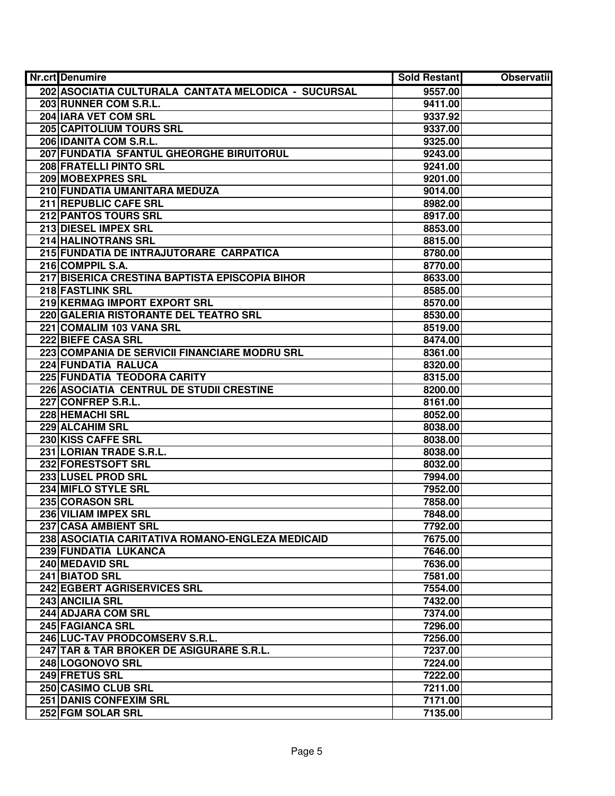| Nr.crt Denumire                                     | Sold Restant | <b>Observatii</b> |
|-----------------------------------------------------|--------------|-------------------|
| 202 ASOCIATIA CULTURALA CANTATA MELODICA - SUCURSAL | 9557.00      |                   |
| 203 RUNNER COM S.R.L.                               | 9411.00      |                   |
| 204 IARA VET COM SRL                                | 9337.92      |                   |
| 205 CAPITOLIUM TOURS SRL                            | 9337.00      |                   |
| 206 IDANITA COM S.R.L.                              | 9325.00      |                   |
| 207 FUNDATIA SFANTUL GHEORGHE BIRUITORUL            | 9243.00      |                   |
| 208 FRATELLI PINTO SRL                              | 9241.00      |                   |
| 209 MOBEXPRES SRL                                   | 9201.00      |                   |
| 210 FUNDATIA UMANITARA MEDUZA                       | 9014.00      |                   |
| 211 REPUBLIC CAFE SRL                               | 8982.00      |                   |
| 212 PANTOS TOURS SRL                                | 8917.00      |                   |
| 213 DIESEL IMPEX SRL                                | 8853.00      |                   |
| <b>214 HALINOTRANS SRL</b>                          | 8815.00      |                   |
| 215 FUNDATIA DE INTRAJUTORARE CARPATICA             | 8780.00      |                   |
| 216 COMPPIL S.A.                                    | 8770.00      |                   |
| 217 BISERICA CRESTINA BAPTISTA EPISCOPIA BIHOR      | 8633.00      |                   |
| 218 FASTLINK SRL                                    | 8585.00      |                   |
| 219 KERMAG IMPORT EXPORT SRL                        | 8570.00      |                   |
| 220 GALERIA RISTORANTE DEL TEATRO SRL               | 8530.00      |                   |
| 221 COMALIM 103 VANA SRL                            | 8519.00      |                   |
| 222 BIEFE CASA SRL                                  | 8474.00      |                   |
| 223 COMPANIA DE SERVICII FINANCIARE MODRU SRL       | 8361.00      |                   |
| 224 FUNDATIA RALUCA                                 | 8320.00      |                   |
| 225 FUNDATIA TEODORA CARITY                         | 8315.00      |                   |
| 226 ASOCIATIA CENTRUL DE STUDII CRESTINE            | 8200.00      |                   |
| 227 CONFREP S.R.L.                                  | 8161.00      |                   |
| 228 HEMACHI SRL                                     | 8052.00      |                   |
| 229 ALCAHIM SRL                                     | 8038.00      |                   |
| 230 KISS CAFFE SRL                                  | 8038.00      |                   |
| 231 LORIAN TRADE S.R.L.                             | 8038.00      |                   |
| 232 FORESTSOFT SRL                                  | 8032.00      |                   |
| 233 LUSEL PROD SRL                                  | 7994.00      |                   |
| 234 MIFLO STYLE SRL                                 | 7952.00      |                   |
| <b>235 CORASON SRL</b>                              | 7858.00      |                   |
| 236 VILIAM IMPEX SRL                                | 7848.00      |                   |
| <b>237 CASA AMBIENT SRL</b>                         | 7792.00      |                   |
| 238 ASOCIATIA CARITATIVA ROMANO-ENGLEZA MEDICAID    | 7675.00      |                   |
| 239 FUNDATIA LUKANCA                                | 7646.00      |                   |
| 240 MEDAVID SRL                                     | 7636.00      |                   |
| 241 BIATOD SRL                                      | 7581.00      |                   |
| 242 EGBERT AGRISERVICES SRL                         | 7554.00      |                   |
| 243 ANCILIA SRL                                     | 7432.00      |                   |
| 244 ADJARA COM SRL                                  | 7374.00      |                   |
| 245 FAGIANCA SRL                                    | 7296.00      |                   |
| 246 LUC-TAV PRODCOMSERV S.R.L.                      | 7256.00      |                   |
| 247 TAR & TAR BROKER DE ASIGURARE S.R.L.            | 7237.00      |                   |
| 248 LOGONOVO SRL                                    | 7224.00      |                   |
| 249 FRETUS SRL                                      | 7222.00      |                   |
| 250 CASIMO CLUB SRL                                 | 7211.00      |                   |
| <b>251 DANIS CONFEXIM SRL</b>                       | 7171.00      |                   |
| 252 FGM SOLAR SRL                                   | 7135.00      |                   |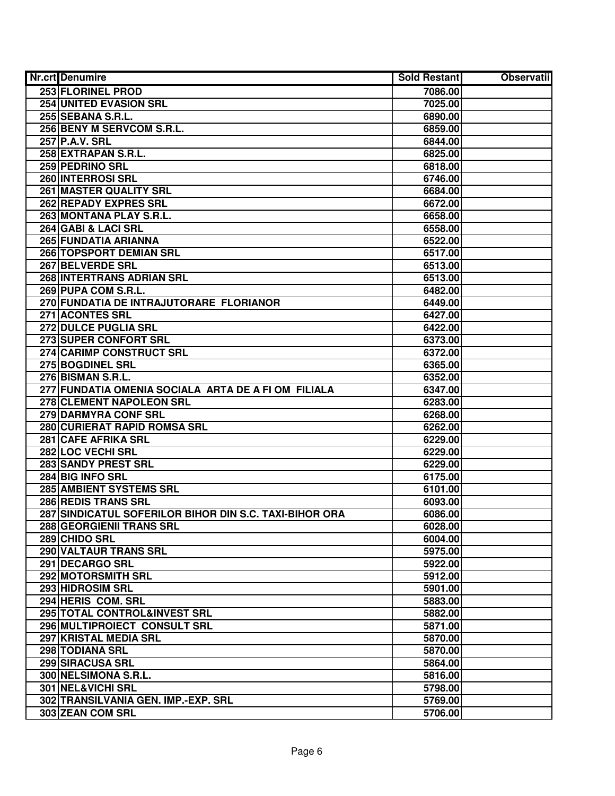| <b>Nr.crt</b> Denumire                                 | Sold Restant | <b>Observatii</b> |
|--------------------------------------------------------|--------------|-------------------|
| 253 FLORINEL PROD                                      | 7086.00      |                   |
| <b>254 UNITED EVASION SRL</b>                          | 7025.00      |                   |
| 255 SEBANA S.R.L.                                      | 6890.00      |                   |
| 256 BENY M SERVCOM S.R.L.                              | 6859.00      |                   |
| 257 P.A.V. SRL                                         | 6844.00      |                   |
| 258 EXTRAPAN S.R.L.                                    | 6825.00      |                   |
| 259 PEDRINO SRL                                        | 6818.00      |                   |
| 260 INTERROSI SRL                                      | 6746.00      |                   |
| <b>261 MASTER QUALITY SRL</b>                          | 6684.00      |                   |
| <b>262 REPADY EXPRES SRL</b>                           | 6672.00      |                   |
| 263 MONTANA PLAY S.R.L.                                | 6658.00      |                   |
| 264 GABI & LACI SRL                                    | 6558.00      |                   |
| 265 FUNDATIA ARIANNA                                   | 6522.00      |                   |
| 266 TOPSPORT DEMIAN SRL                                | 6517.00      |                   |
| 267 BELVERDE SRL                                       | 6513.00      |                   |
| 268 INTERTRANS ADRIAN SRL                              | 6513.00      |                   |
| 269 PUPA COM S.R.L.                                    | 6482.00      |                   |
| 270 FUNDATIA DE INTRAJUTORARE FLORIANOR                | 6449.00      |                   |
| 271 ACONTES SRL                                        | 6427.00      |                   |
| 272 DULCE PUGLIA SRL                                   | 6422.00      |                   |
| 273 SUPER CONFORT SRL                                  | 6373.00      |                   |
| 274 CARIMP CONSTRUCT SRL                               | 6372.00      |                   |
| 275 BOGDINEL SRL                                       | 6365.00      |                   |
| 276 BISMAN S.R.L.                                      | 6352.00      |                   |
| 277 FUNDATIA OMENIA SOCIALA ARTA DE A FI OM FILIALA    | 6347.00      |                   |
| 278 CLEMENT NAPOLEON SRL                               | 6283.00      |                   |
| 279 DARMYRA CONF SRL                                   | 6268.00      |                   |
| 280 CURIERAT RAPID ROMSA SRL                           | 6262.00      |                   |
| 281 CAFE AFRIKA SRL                                    | 6229.00      |                   |
| 282 LOC VECHI SRL                                      | 6229.00      |                   |
| 283 SANDY PREST SRL                                    | 6229.00      |                   |
| 284 BIG INFO SRL                                       | 6175.00      |                   |
| 285 AMBIENT SYSTEMS SRL                                | 6101.00      |                   |
| 286 REDIS TRANS SRL                                    | 6093.00      |                   |
| 287 SINDICATUL SOFERILOR BIHOR DIN S.C. TAXI-BIHOR ORA | 6086.00      |                   |
| 288 GEORGIENII TRANS SRL                               | 6028.00      |                   |
| 289 CHIDO SRL                                          | 6004.00      |                   |
| 290 VALTAUR TRANS SRL                                  | 5975.00      |                   |
| 291 DECARGO SRL                                        | 5922.00      |                   |
| 292 MOTORSMITH SRL                                     | 5912.00      |                   |
| 293 HIDROSIM SRL                                       | 5901.00      |                   |
| 294 HERIS COM. SRL                                     | 5883.00      |                   |
| 295 TOTAL CONTROL&INVEST SRL                           | 5882.00      |                   |
| 296 MULTIPROIECT CONSULT SRL                           | 5871.00      |                   |
| 297 KRISTAL MEDIA SRL                                  | 5870.00      |                   |
| 298 TODIANA SRL                                        | 5870.00      |                   |
| 299 SIRACUSA SRL                                       | 5864.00      |                   |
| 300 NELSIMONA S.R.L.                                   | 5816.00      |                   |
| 301 NEL&VICHI SRL                                      | 5798.00      |                   |
| 302 TRANSILVANIA GEN. IMP.-EXP. SRL                    | 5769.00      |                   |
| 303 ZEAN COM SRL                                       | 5706.00      |                   |